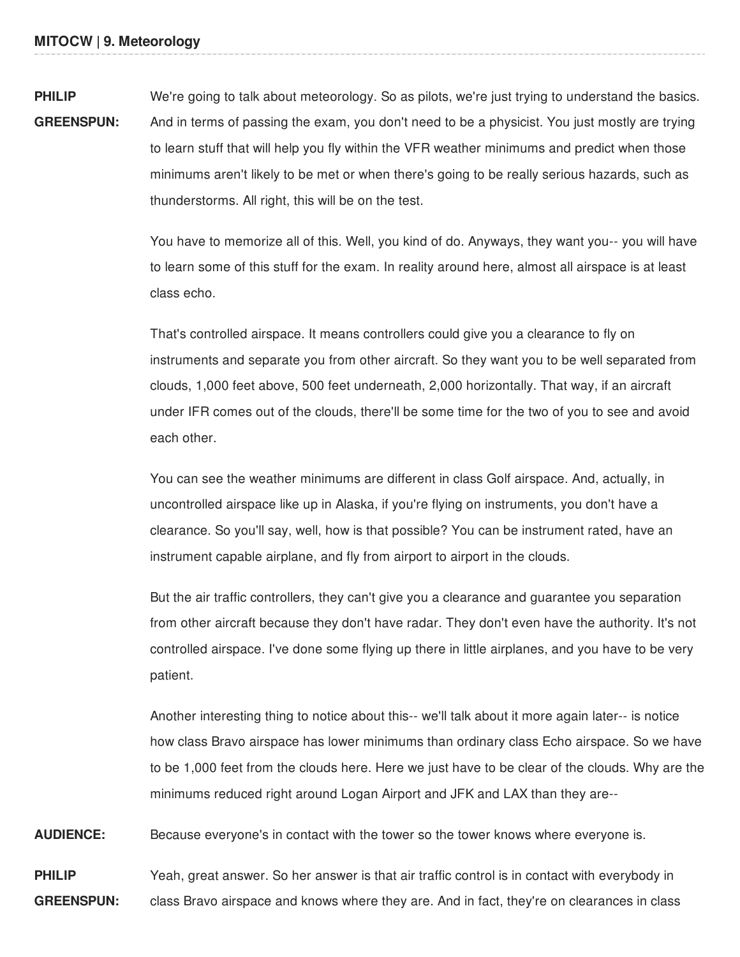**PHILIP GREENSPUN:** We're going to talk about meteorology. So as pilots, we're just trying to understand the basics. And in terms of passing the exam, you don't need to be a physicist. You just mostly are trying to learn stuff that will help you fly within the VFR weather minimums and predict when those minimums aren't likely to be met or when there's going to be really serious hazards, such as thunderstorms. All right, this will be on the test.

> You have to memorize all of this. Well, you kind of do. Anyways, they want you-- you will have to learn some of this stuff for the exam. In reality around here, almost all airspace is at least class echo.

> That's controlled airspace. It means controllers could give you a clearance to fly on instruments and separate you from other aircraft. So they want you to be well separated from clouds, 1,000 feet above, 500 feet underneath, 2,000 horizontally. That way, if an aircraft under IFR comes out of the clouds, there'll be some time for the two of you to see and avoid each other.

You can see the weather minimums are different in class Golf airspace. And, actually, in uncontrolled airspace like up in Alaska, if you're flying on instruments, you don't have a clearance. So you'll say, well, how is that possible? You can be instrument rated, have an instrument capable airplane, and fly from airport to airport in the clouds.

But the air traffic controllers, they can't give you a clearance and guarantee you separation from other aircraft because they don't have radar. They don't even have the authority. It's not controlled airspace. I've done some flying up there in little airplanes, and you have to be very patient.

Another interesting thing to notice about this-- we'll talk about it more again later-- is notice how class Bravo airspace has lower minimums than ordinary class Echo airspace. So we have to be 1,000 feet from the clouds here. Here we just have to be clear of the clouds. Why are the minimums reduced right around Logan Airport and JFK and LAX than they are--

**AUDIENCE:** Because everyone's in contact with the tower so the tower knows where everyone is.

**PHILIP GREENSPUN:** Yeah, great answer. So her answer is that air traffic control is in contact with everybody in class Bravo airspace and knows where they are. And in fact, they're on clearances in class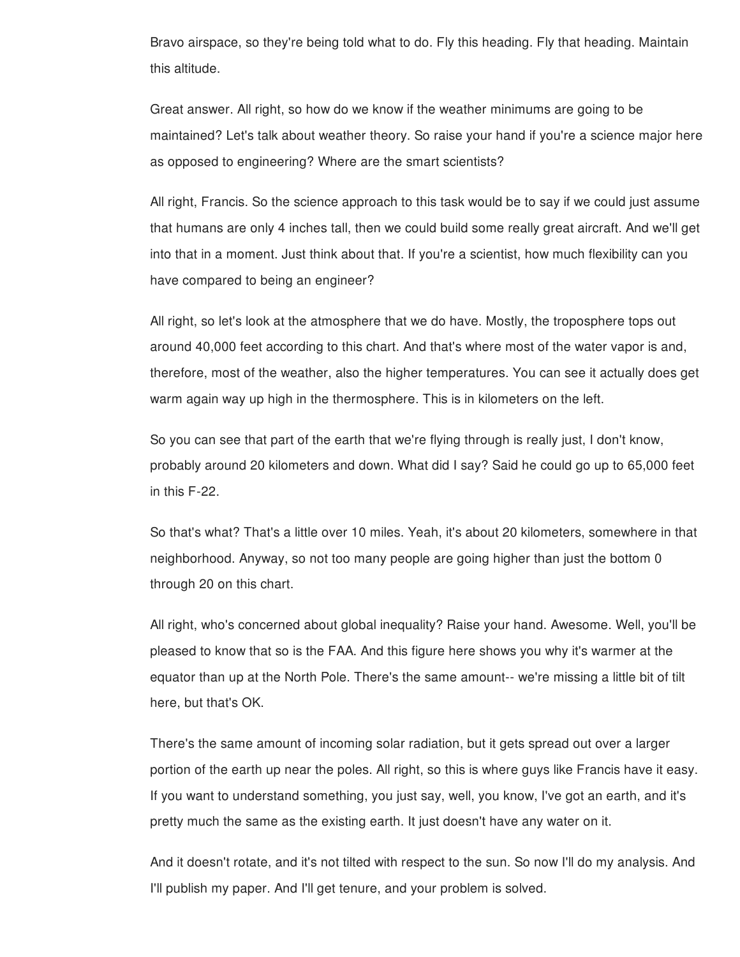Bravo airspace, so they're being told what to do. Fly this heading. Fly that heading. Maintain this altitude.

Great answer. All right, so how do we know if the weather minimums are going to be maintained? Let's talk about weather theory. So raise your hand if you're a science major here as opposed to engineering? Where are the smart scientists?

All right, Francis. So the science approach to this task would be to say if we could just assume that humans are only 4 inches tall, then we could build some really great aircraft. And we'll get into that in a moment. Just think about that. If you're a scientist, how much flexibility can you have compared to being an engineer?

All right, so let's look at the atmosphere that we do have. Mostly, the troposphere tops out around 40,000 feet according to this chart. And that's where most of the water vapor is and, therefore, most of the weather, also the higher temperatures. You can see it actually does get warm again way up high in the thermosphere. This is in kilometers on the left.

So you can see that part of the earth that we're flying through is really just, I don't know, probably around 20 kilometers and down. What did I say? Said he could go up to 65,000 feet in this F-22.

So that's what? That's a little over 10 miles. Yeah, it's about 20 kilometers, somewhere in that neighborhood. Anyway, so not too many people are going higher than just the bottom 0 through 20 on this chart.

All right, who's concerned about global inequality? Raise your hand. Awesome. Well, you'll be pleased to know that so is the FAA. And this figure here shows you why it's warmer at the equator than up at the North Pole. There's the same amount-- we're missing a little bit of tilt here, but that's OK.

There's the same amount of incoming solar radiation, but it gets spread out over a larger portion of the earth up near the poles. All right, so this is where guys like Francis have it easy. If you want to understand something, you just say, well, you know, I've got an earth, and it's pretty much the same as the existing earth. It just doesn't have any water on it.

And it doesn't rotate, and it's not tilted with respect to the sun. So now I'll do my analysis. And I'll publish my paper. And I'll get tenure, and your problem is solved.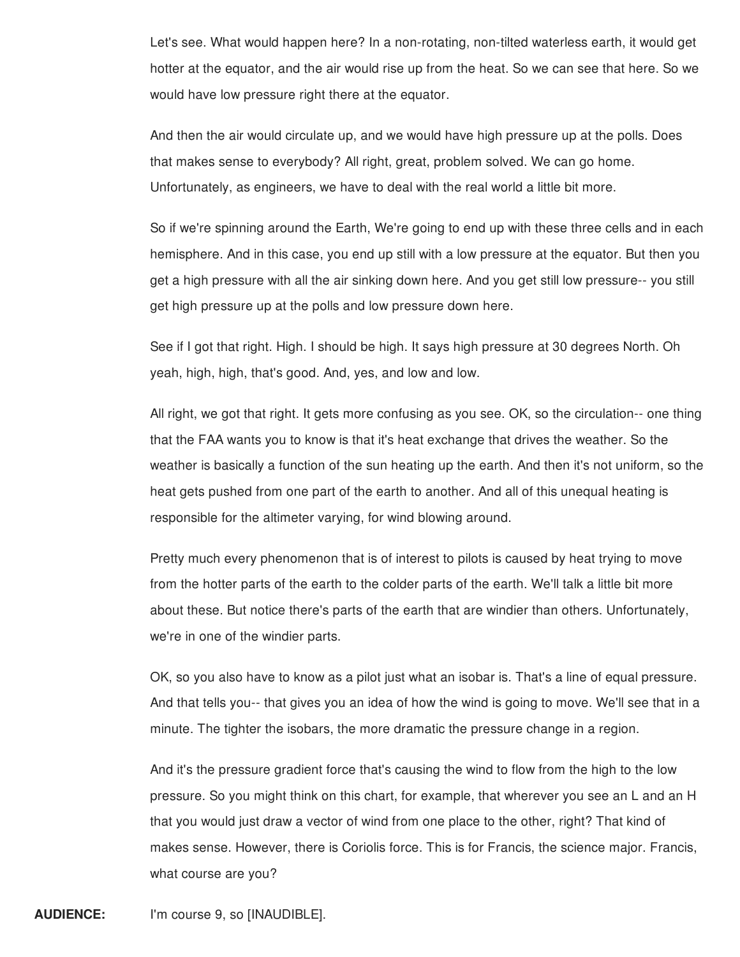Let's see. What would happen here? In a non-rotating, non-tilted waterless earth, it would get hotter at the equator, and the air would rise up from the heat. So we can see that here. So we would have low pressure right there at the equator.

And then the air would circulate up, and we would have high pressure up at the polls. Does that makes sense to everybody? All right, great, problem solved. We can go home. Unfortunately, as engineers, we have to deal with the real world a little bit more.

So if we're spinning around the Earth, We're going to end up with these three cells and in each hemisphere. And in this case, you end up still with a low pressure at the equator. But then you get a high pressure with all the air sinking down here. And you get still low pressure-- you still get high pressure up at the polls and low pressure down here.

See if I got that right. High. I should be high. It says high pressure at 30 degrees North. Oh yeah, high, high, that's good. And, yes, and low and low.

All right, we got that right. It gets more confusing as you see. OK, so the circulation-- one thing that the FAA wants you to know is that it's heat exchange that drives the weather. So the weather is basically a function of the sun heating up the earth. And then it's not uniform, so the heat gets pushed from one part of the earth to another. And all of this unequal heating is responsible for the altimeter varying, for wind blowing around.

Pretty much every phenomenon that is of interest to pilots is caused by heat trying to move from the hotter parts of the earth to the colder parts of the earth. We'll talk a little bit more about these. But notice there's parts of the earth that are windier than others. Unfortunately, we're in one of the windier parts.

OK, so you also have to know as a pilot just what an isobar is. That's a line of equal pressure. And that tells you-- that gives you an idea of how the wind is going to move. We'll see that in a minute. The tighter the isobars, the more dramatic the pressure change in a region.

And it's the pressure gradient force that's causing the wind to flow from the high to the low pressure. So you might think on this chart, for example, that wherever you see an L and an H that you would just draw a vector of wind from one place to the other, right? That kind of makes sense. However, there is Coriolis force. This is for Francis, the science major. Francis, what course are you?

**AUDIENCE:** I'm course 9, so [INAUDIBLE].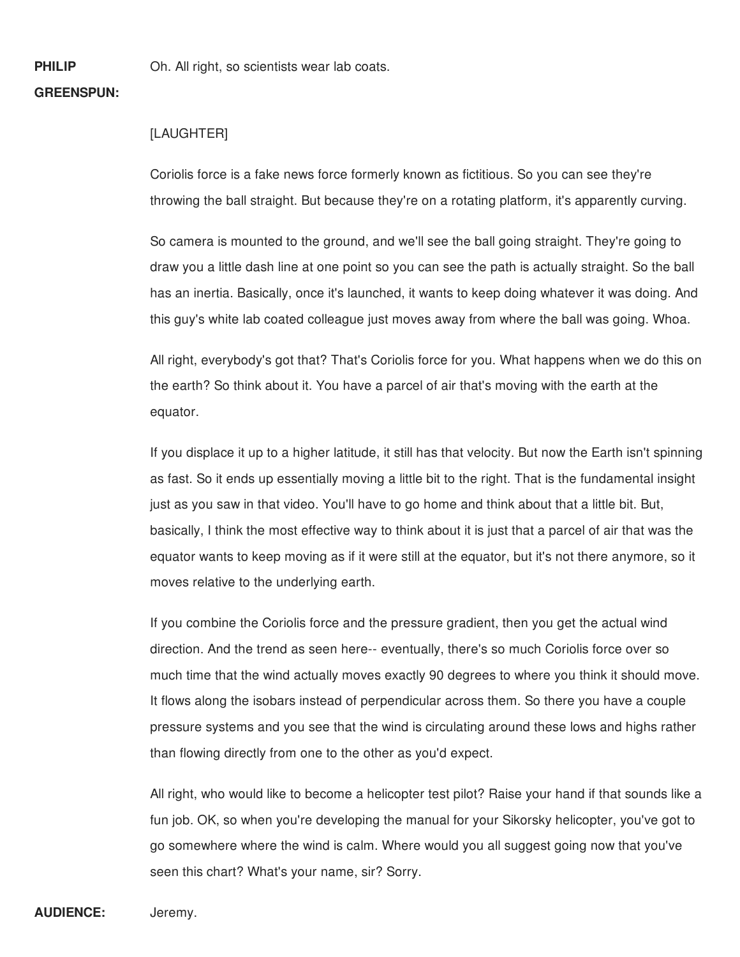**PHILIP**

Oh. All right, so scientists wear lab coats.

## **GREENSPUN:**

## [LAUGHTER]

Coriolis force is a fake news force formerly known as fictitious. So you can see they're throwing the ball straight. But because they're on a rotating platform, it's apparently curving.

So camera is mounted to the ground, and we'll see the ball going straight. They're going to draw you a little dash line at one point so you can see the path is actually straight. So the ball has an inertia. Basically, once it's launched, it wants to keep doing whatever it was doing. And this guy's white lab coated colleague just moves away from where the ball was going. Whoa.

All right, everybody's got that? That's Coriolis force for you. What happens when we do this on the earth? So think about it. You have a parcel of air that's moving with the earth at the equator.

If you displace it up to a higher latitude, it still has that velocity. But now the Earth isn't spinning as fast. So it ends up essentially moving a little bit to the right. That is the fundamental insight just as you saw in that video. You'll have to go home and think about that a little bit. But, basically, I think the most effective way to think about it is just that a parcel of air that was the equator wants to keep moving as if it were still at the equator, but it's not there anymore, so it moves relative to the underlying earth.

If you combine the Coriolis force and the pressure gradient, then you get the actual wind direction. And the trend as seen here-- eventually, there's so much Coriolis force over so much time that the wind actually moves exactly 90 degrees to where you think it should move. It flows along the isobars instead of perpendicular across them. So there you have a couple pressure systems and you see that the wind is circulating around these lows and highs rather than flowing directly from one to the other as you'd expect.

All right, who would like to become a helicopter test pilot? Raise your hand if that sounds like a fun job. OK, so when you're developing the manual for your Sikorsky helicopter, you've got to go somewhere where the wind is calm. Where would you all suggest going now that you've seen this chart? What's your name, sir? Sorry.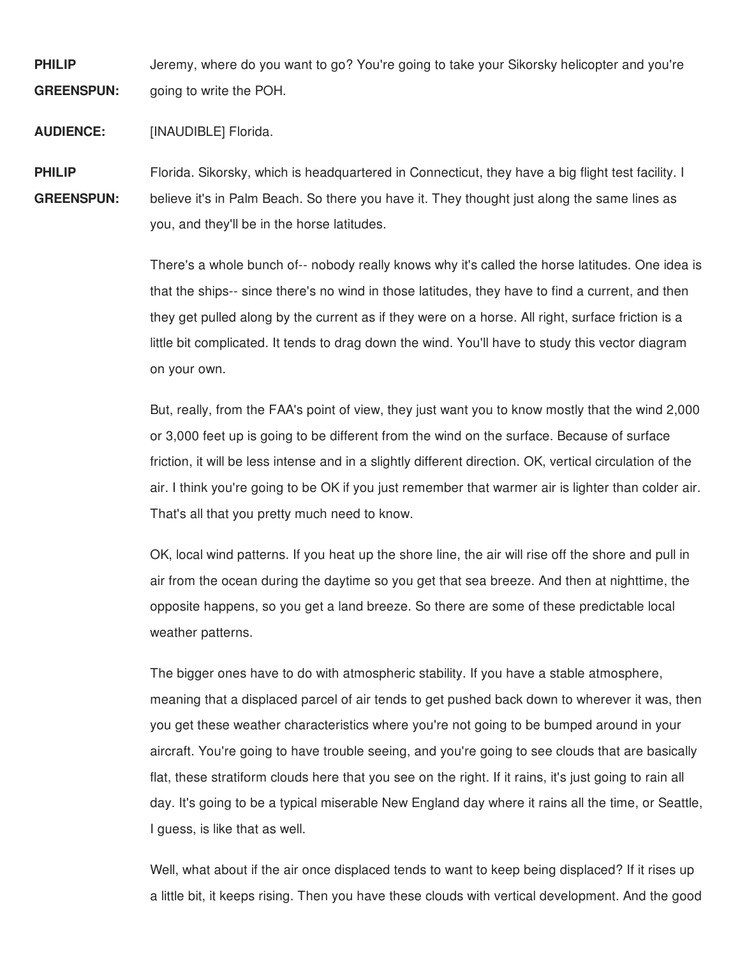**PHILIP GREENSPUN:** Jeremy, where do you want to go? You're going to take your Sikorsky helicopter and you're going to write the POH.

**AUDIENCE:** [INAUDIBLE] Florida.

**PHILIP GREENSPUN:** Florida. Sikorsky, which is headquartered in Connecticut, they have a big flight test facility. I believe it's in Palm Beach. So there you have it. They thought just along the same lines as you, and they'll be in the horse latitudes.

> There's a whole bunch of-- nobody really knows why it's called the horse latitudes. One idea is that the ships-- since there's no wind in those latitudes, they have to find a current, and then they get pulled along by the current as if they were on a horse. All right, surface friction is a little bit complicated. It tends to drag down the wind. You'll have to study this vector diagram on your own.

> But, really, from the FAA's point of view, they just want you to know mostly that the wind 2,000 or 3,000 feet up is going to be different from the wind on the surface. Because of surface friction, it will be less intense and in a slightly different direction. OK, vertical circulation of the air. I think you're going to be OK if you just remember that warmer air is lighter than colder air. That's all that you pretty much need to know.

OK, local wind patterns. If you heat up the shore line, the air will rise off the shore and pull in air from the ocean during the daytime so you get that sea breeze. And then at nighttime, the opposite happens, so you get a land breeze. So there are some of these predictable local weather patterns.

The bigger ones have to do with atmospheric stability. If you have a stable atmosphere, meaning that a displaced parcel of air tends to get pushed back down to wherever it was, then you get these weather characteristics where you're not going to be bumped around in your aircraft. You're going to have trouble seeing, and you're going to see clouds that are basically flat, these stratiform clouds here that you see on the right. If it rains, it's just going to rain all day. It's going to be a typical miserable New England day where it rains all the time, or Seattle, I guess, is like that as well.

Well, what about if the air once displaced tends to want to keep being displaced? If it rises up a little bit, it keeps rising. Then you have these clouds with vertical development. And the good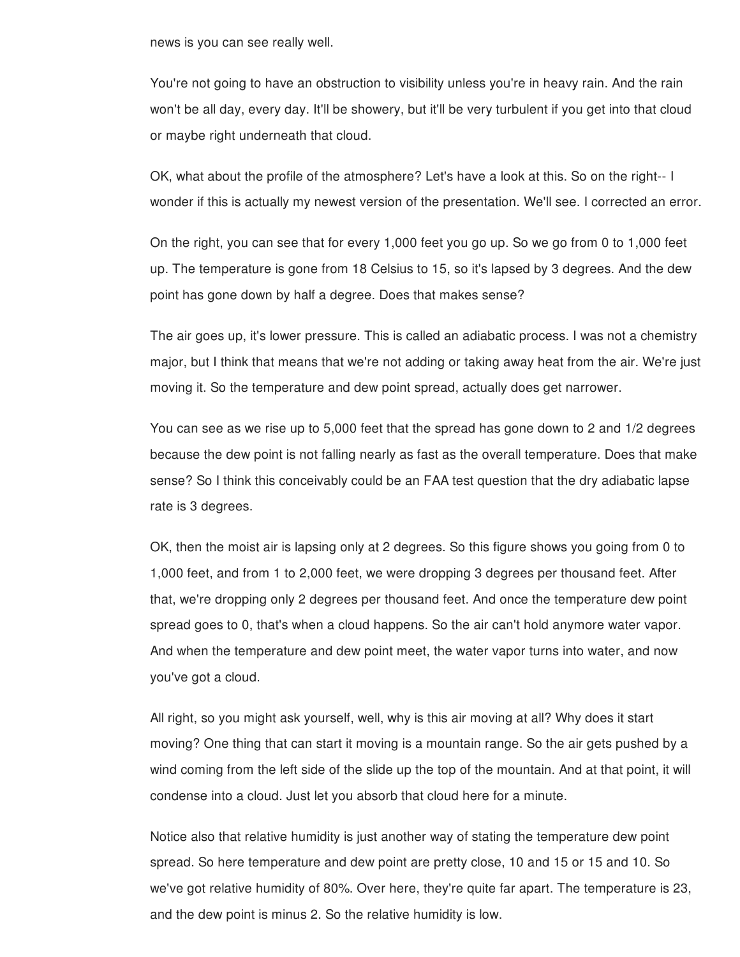news is you can see really well.

You're not going to have an obstruction to visibility unless you're in heavy rain. And the rain won't be all day, every day. It'll be showery, but it'll be very turbulent if you get into that cloud or maybe right underneath that cloud.

OK, what about the profile of the atmosphere? Let's have a look at this. So on the right-- I wonder if this is actually my newest version of the presentation. We'll see. I corrected an error.

On the right, you can see that for every 1,000 feet you go up. So we go from 0 to 1,000 feet up. The temperature is gone from 18 Celsius to 15, so it's lapsed by 3 degrees. And the dew point has gone down by half a degree. Does that makes sense?

The air goes up, it's lower pressure. This is called an adiabatic process. I was not a chemistry major, but I think that means that we're not adding or taking away heat from the air. We're just moving it. So the temperature and dew point spread, actually does get narrower.

You can see as we rise up to 5,000 feet that the spread has gone down to 2 and 1/2 degrees because the dew point is not falling nearly as fast as the overall temperature. Does that make sense? So I think this conceivably could be an FAA test question that the dry adiabatic lapse rate is 3 degrees.

OK, then the moist air is lapsing only at 2 degrees. So this figure shows you going from 0 to 1,000 feet, and from 1 to 2,000 feet, we were dropping 3 degrees per thousand feet. After that, we're dropping only 2 degrees per thousand feet. And once the temperature dew point spread goes to 0, that's when a cloud happens. So the air can't hold anymore water vapor. And when the temperature and dew point meet, the water vapor turns into water, and now you've got a cloud.

All right, so you might ask yourself, well, why is this air moving at all? Why does it start moving? One thing that can start it moving is a mountain range. So the air gets pushed by a wind coming from the left side of the slide up the top of the mountain. And at that point, it will condense into a cloud. Just let you absorb that cloud here for a minute.

Notice also that relative humidity is just another way of stating the temperature dew point spread. So here temperature and dew point are pretty close, 10 and 15 or 15 and 10. So we've got relative humidity of 80%. Over here, they're quite far apart. The temperature is 23, and the dew point is minus 2. So the relative humidity is low.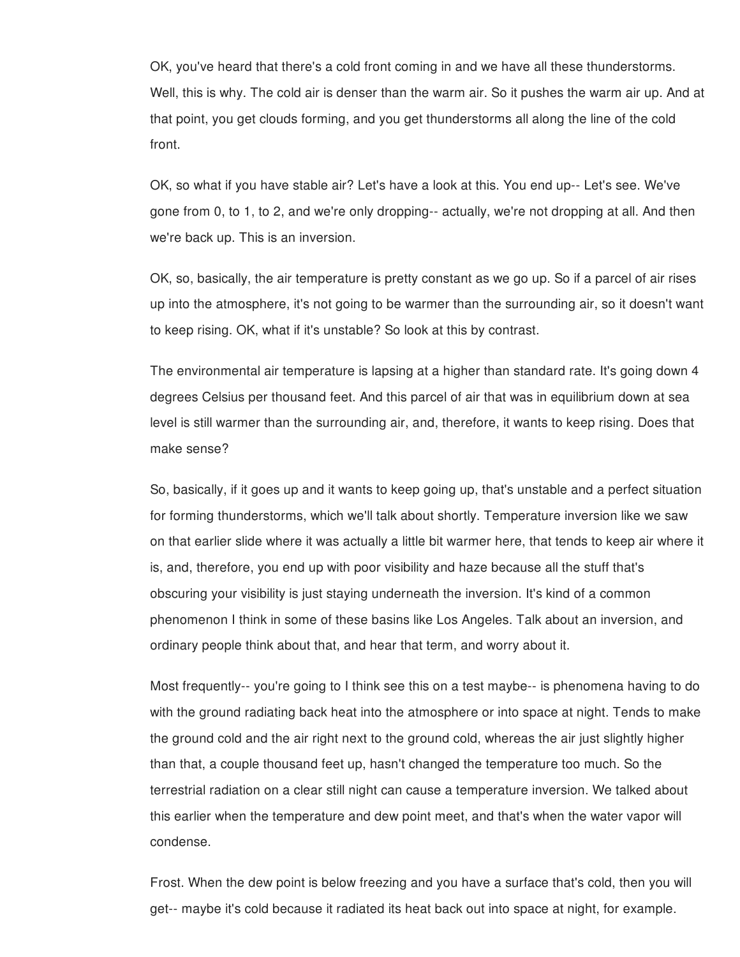OK, you've heard that there's a cold front coming in and we have all these thunderstorms. Well, this is why. The cold air is denser than the warm air. So it pushes the warm air up. And at that point, you get clouds forming, and you get thunderstorms all along the line of the cold front.

OK, so what if you have stable air? Let's have a look at this. You end up-- Let's see. We've gone from 0, to 1, to 2, and we're only dropping-- actually, we're not dropping at all. And then we're back up. This is an inversion.

OK, so, basically, the air temperature is pretty constant as we go up. So if a parcel of air rises up into the atmosphere, it's not going to be warmer than the surrounding air, so it doesn't want to keep rising. OK, what if it's unstable? So look at this by contrast.

The environmental air temperature is lapsing at a higher than standard rate. It's going down 4 degrees Celsius per thousand feet. And this parcel of air that was in equilibrium down at sea level is still warmer than the surrounding air, and, therefore, it wants to keep rising. Does that make sense?

So, basically, if it goes up and it wants to keep going up, that's unstable and a perfect situation for forming thunderstorms, which we'll talk about shortly. Temperature inversion like we saw on that earlier slide where it was actually a little bit warmer here, that tends to keep air where it is, and, therefore, you end up with poor visibility and haze because all the stuff that's obscuring your visibility is just staying underneath the inversion. It's kind of a common phenomenon I think in some of these basins like Los Angeles. Talk about an inversion, and ordinary people think about that, and hear that term, and worry about it.

Most frequently-- you're going to I think see this on a test maybe-- is phenomena having to do with the ground radiating back heat into the atmosphere or into space at night. Tends to make the ground cold and the air right next to the ground cold, whereas the air just slightly higher than that, a couple thousand feet up, hasn't changed the temperature too much. So the terrestrial radiation on a clear still night can cause a temperature inversion. We talked about this earlier when the temperature and dew point meet, and that's when the water vapor will condense.

Frost. When the dew point is below freezing and you have a surface that's cold, then you will get-- maybe it's cold because it radiated its heat back out into space at night, for example.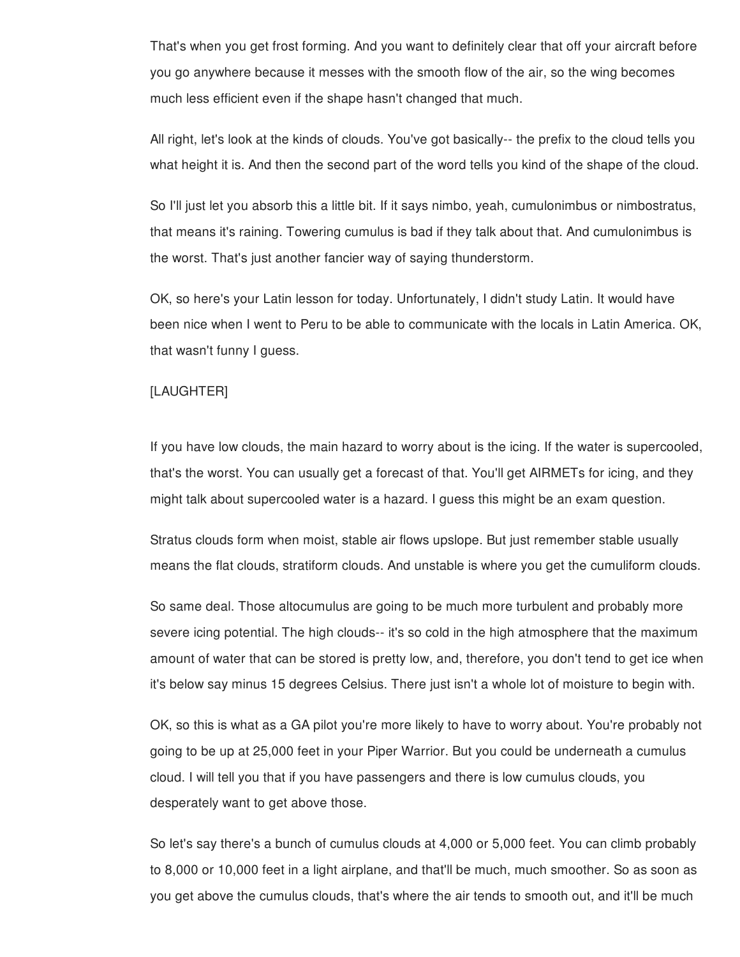That's when you get frost forming. And you want to definitely clear that off your aircraft before you go anywhere because it messes with the smooth flow of the air, so the wing becomes much less efficient even if the shape hasn't changed that much.

All right, let's look at the kinds of clouds. You've got basically-- the prefix to the cloud tells you what height it is. And then the second part of the word tells you kind of the shape of the cloud.

So I'll just let you absorb this a little bit. If it says nimbo, yeah, cumulonimbus or nimbostratus, that means it's raining. Towering cumulus is bad if they talk about that. And cumulonimbus is the worst. That's just another fancier way of saying thunderstorm.

OK, so here's your Latin lesson for today. Unfortunately, I didn't study Latin. It would have been nice when I went to Peru to be able to communicate with the locals in Latin America. OK, that wasn't funny I guess.

## [LAUGHTER]

If you have low clouds, the main hazard to worry about is the icing. If the water is supercooled, that's the worst. You can usually get a forecast of that. You'll get AIRMETs for icing, and they might talk about supercooled water is a hazard. I guess this might be an exam question.

Stratus clouds form when moist, stable air flows upslope. But just remember stable usually means the flat clouds, stratiform clouds. And unstable is where you get the cumuliform clouds.

So same deal. Those altocumulus are going to be much more turbulent and probably more severe icing potential. The high clouds-- it's so cold in the high atmosphere that the maximum amount of water that can be stored is pretty low, and, therefore, you don't tend to get ice when it's below say minus 15 degrees Celsius. There just isn't a whole lot of moisture to begin with.

OK, so this is what as a GA pilot you're more likely to have to worry about. You're probably not going to be up at 25,000 feet in your Piper Warrior. But you could be underneath a cumulus cloud. I will tell you that if you have passengers and there is low cumulus clouds, you desperately want to get above those.

So let's say there's a bunch of cumulus clouds at 4,000 or 5,000 feet. You can climb probably to 8,000 or 10,000 feet in a light airplane, and that'll be much, much smoother. So as soon as you get above the cumulus clouds, that's where the air tends to smooth out, and it'll be much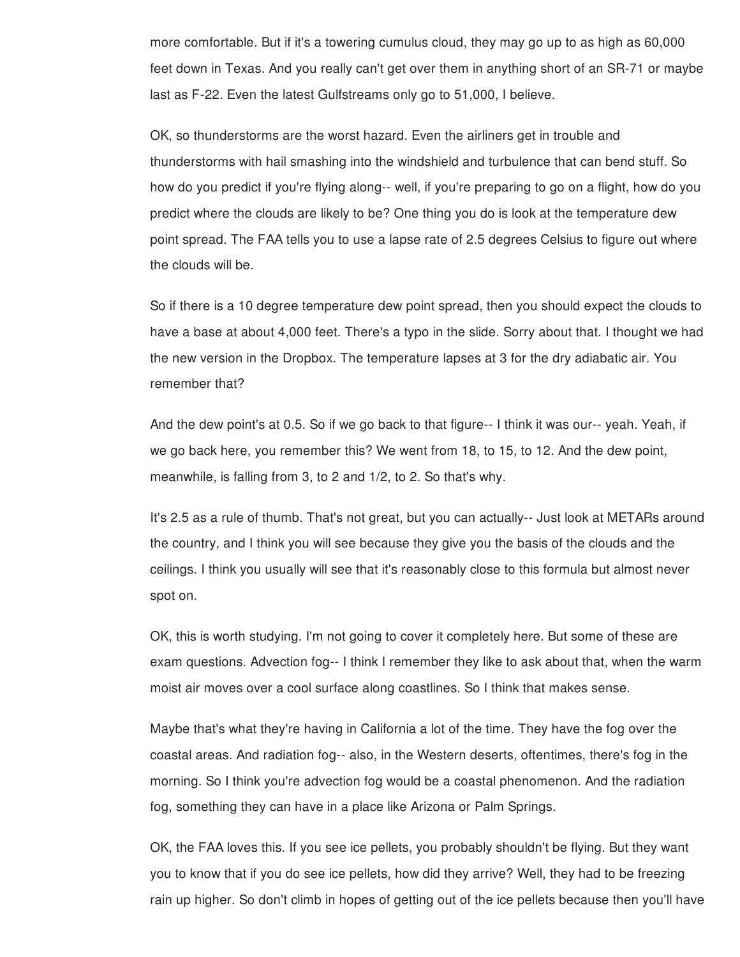more comfortable. But if it's a towering cumulus cloud, they may go up to as high as 60,000 feet down in Texas. And you really can't get over them in anything short of an SR-71 or maybe last as F-22. Even the latest Gulfstreams only go to 51,000, I believe.

OK, so thunderstorms are the worst hazard. Even the airliners get in trouble and thunderstorms with hail smashing into the windshield and turbulence that can bend stuff. So how do you predict if you're flying along-- well, if you're preparing to go on a flight, how do you predict where the clouds are likely to be? One thing you do is look at the temperature dew point spread. The FAA tells you to use a lapse rate of 2.5 degrees Celsius to figure out where the clouds will be.

So if there is a 10 degree temperature dew point spread, then you should expect the clouds to have a base at about 4,000 feet. There's a typo in the slide. Sorry about that. I thought we had the new version in the Dropbox. The temperature lapses at 3 for the dry adiabatic air. You remember that?

And the dew point's at 0.5. So if we go back to that figure-- I think it was our-- yeah. Yeah, if we go back here, you remember this? We went from 18, to 15, to 12. And the dew point, meanwhile, is falling from 3, to 2 and 1/2, to 2. So that's why.

It's 2.5 as a rule of thumb. That's not great, but you can actually-- Just look at METARs around the country, and I think you will see because they give you the basis of the clouds and the ceilings. I think you usually will see that it's reasonably close to this formula but almost never spot on.

OK, this is worth studying. I'm not going to cover it completely here. But some of these are exam questions. Advection fog-- I think I remember they like to ask about that, when the warm moist air moves over a cool surface along coastlines. So I think that makes sense.

Maybe that's what they're having in California a lot of the time. They have the fog over the coastal areas. And radiation fog-- also, in the Western deserts, oftentimes, there's fog in the morning. So I think you're advection fog would be a coastal phenomenon. And the radiation fog, something they can have in a place like Arizona or Palm Springs.

OK, the FAA loves this. If you see ice pellets, you probably shouldn't be flying. But they want you to know that if you do see ice pellets, how did they arrive? Well, they had to be freezing rain up higher. So don't climb in hopes of getting out of the ice pellets because then you'll have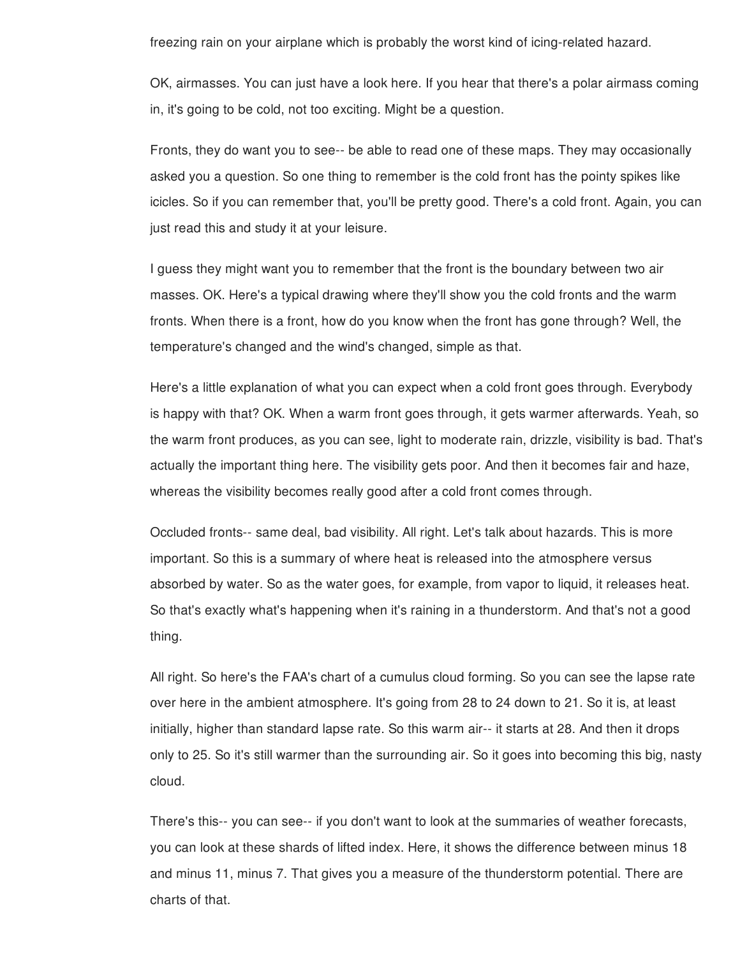freezing rain on your airplane which is probably the worst kind of icing-related hazard.

OK, airmasses. You can just have a look here. If you hear that there's a polar airmass coming in, it's going to be cold, not too exciting. Might be a question.

Fronts, they do want you to see-- be able to read one of these maps. They may occasionally asked you a question. So one thing to remember is the cold front has the pointy spikes like icicles. So if you can remember that, you'll be pretty good. There's a cold front. Again, you can just read this and study it at your leisure.

I guess they might want you to remember that the front is the boundary between two air masses. OK. Here's a typical drawing where they'll show you the cold fronts and the warm fronts. When there is a front, how do you know when the front has gone through? Well, the temperature's changed and the wind's changed, simple as that.

Here's a little explanation of what you can expect when a cold front goes through. Everybody is happy with that? OK. When a warm front goes through, it gets warmer afterwards. Yeah, so the warm front produces, as you can see, light to moderate rain, drizzle, visibility is bad. That's actually the important thing here. The visibility gets poor. And then it becomes fair and haze, whereas the visibility becomes really good after a cold front comes through.

Occluded fronts-- same deal, bad visibility. All right. Let's talk about hazards. This is more important. So this is a summary of where heat is released into the atmosphere versus absorbed by water. So as the water goes, for example, from vapor to liquid, it releases heat. So that's exactly what's happening when it's raining in a thunderstorm. And that's not a good thing.

All right. So here's the FAA's chart of a cumulus cloud forming. So you can see the lapse rate over here in the ambient atmosphere. It's going from 28 to 24 down to 21. So it is, at least initially, higher than standard lapse rate. So this warm air-- it starts at 28. And then it drops only to 25. So it's still warmer than the surrounding air. So it goes into becoming this big, nasty cloud.

There's this-- you can see-- if you don't want to look at the summaries of weather forecasts, you can look at these shards of lifted index. Here, it shows the difference between minus 18 and minus 11, minus 7. That gives you a measure of the thunderstorm potential. There are charts of that.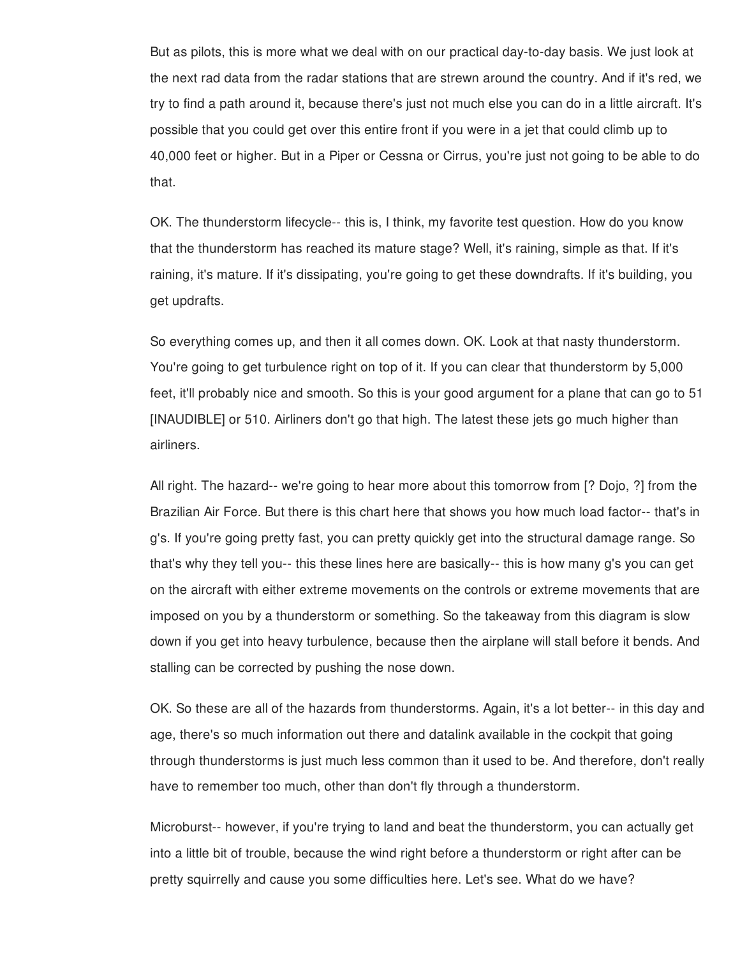But as pilots, this is more what we deal with on our practical day-to-day basis. We just look at the next rad data from the radar stations that are strewn around the country. And if it's red, we try to find a path around it, because there's just not much else you can do in a little aircraft. It's possible that you could get over this entire front if you were in a jet that could climb up to 40,000 feet or higher. But in a Piper or Cessna or Cirrus, you're just not going to be able to do that.

OK. The thunderstorm lifecycle-- this is, I think, my favorite test question. How do you know that the thunderstorm has reached its mature stage? Well, it's raining, simple as that. If it's raining, it's mature. If it's dissipating, you're going to get these downdrafts. If it's building, you get updrafts.

So everything comes up, and then it all comes down. OK. Look at that nasty thunderstorm. You're going to get turbulence right on top of it. If you can clear that thunderstorm by 5,000 feet, it'll probably nice and smooth. So this is your good argument for a plane that can go to 51 [INAUDIBLE] or 510. Airliners don't go that high. The latest these jets go much higher than airliners.

All right. The hazard-- we're going to hear more about this tomorrow from [? Dojo, ?] from the Brazilian Air Force. But there is this chart here that shows you how much load factor-- that's in g's. If you're going pretty fast, you can pretty quickly get into the structural damage range. So that's why they tell you-- this these lines here are basically-- this is how many g's you can get on the aircraft with either extreme movements on the controls or extreme movements that are imposed on you by a thunderstorm or something. So the takeaway from this diagram is slow down if you get into heavy turbulence, because then the airplane will stall before it bends. And stalling can be corrected by pushing the nose down.

OK. So these are all of the hazards from thunderstorms. Again, it's a lot better-- in this day and age, there's so much information out there and datalink available in the cockpit that going through thunderstorms is just much less common than it used to be. And therefore, don't really have to remember too much, other than don't fly through a thunderstorm.

Microburst-- however, if you're trying to land and beat the thunderstorm, you can actually get into a little bit of trouble, because the wind right before a thunderstorm or right after can be pretty squirrelly and cause you some difficulties here. Let's see. What do we have?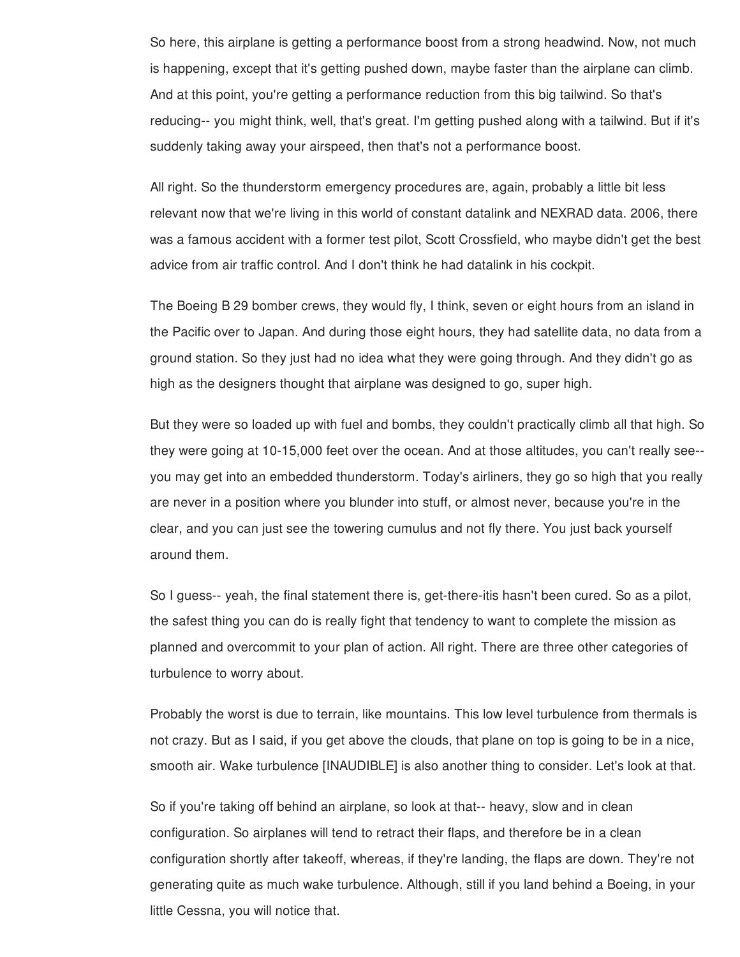So here, this airplane is getting a performance boost from a strong headwind. Now, not much is happening, except that it's getting pushed down, maybe faster than the airplane can climb. And at this point, you're getting a performance reduction from this big tailwind. So that's reducing-- you might think, well, that's great. I'm getting pushed along with a tailwind. But if it's suddenly taking away your airspeed, then that's not a performance boost.

All right. So the thunderstorm emergency procedures are, again, probably a little bit less relevant now that we're living in this world of constant datalink and NEXRAD data. 2006, there was a famous accident with a former test pilot, Scott Crossfield, who maybe didn't get the best advice from air traffic control. And I don't think he had datalink in his cockpit.

The Boeing B 29 bomber crews, they would fly, I think, seven or eight hours from an island in the Pacific over to Japan. And during those eight hours, they had satellite data, no data from a ground station. So they just had no idea what they were going through. And they didn't go as high as the designers thought that airplane was designed to go, super high.

But they were so loaded up with fuel and bombs, they couldn't practically climb all that high. So they were going at 10-15,000 feet over the ocean. And at those altitudes, you can't really see- you may get into an embedded thunderstorm. Today's airliners, they go so high that you really are never in a position where you blunder into stuff, or almost never, because you're in the clear, and you can just see the towering cumulus and not fly there. You just back yourself around them.

So I guess-- yeah, the final statement there is, get-there-itis hasn't been cured. So as a pilot, the safest thing you can do is really fight that tendency to want to complete the mission as planned and overcommit to your plan of action. All right. There are three other categories of turbulence to worry about.

Probably the worst is due to terrain, like mountains. This low level turbulence from thermals is not crazy. But as I said, if you get above the clouds, that plane on top is going to be in a nice, smooth air. Wake turbulence [INAUDIBLE] is also another thing to consider. Let's look at that.

So if you're taking off behind an airplane, so look at that-- heavy, slow and in clean configuration. So airplanes will tend to retract their flaps, and therefore be in a clean configuration shortly after takeoff, whereas, if they're landing, the flaps are down. They're not generating quite as much wake turbulence. Although, still if you land behind a Boeing, in your little Cessna, you will notice that.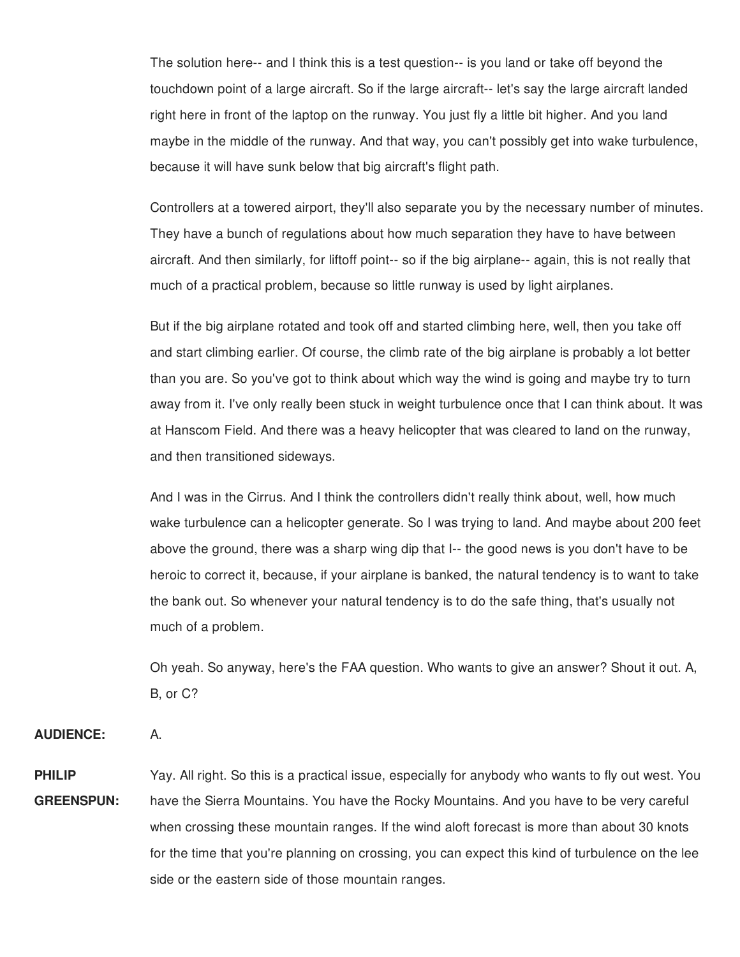The solution here-- and I think this is a test question-- is you land or take off beyond the touchdown point of a large aircraft. So if the large aircraft-- let's say the large aircraft landed right here in front of the laptop on the runway. You just fly a little bit higher. And you land maybe in the middle of the runway. And that way, you can't possibly get into wake turbulence, because it will have sunk below that big aircraft's flight path.

Controllers at a towered airport, they'll also separate you by the necessary number of minutes. They have a bunch of regulations about how much separation they have to have between aircraft. And then similarly, for liftoff point-- so if the big airplane-- again, this is not really that much of a practical problem, because so little runway is used by light airplanes.

But if the big airplane rotated and took off and started climbing here, well, then you take off and start climbing earlier. Of course, the climb rate of the big airplane is probably a lot better than you are. So you've got to think about which way the wind is going and maybe try to turn away from it. I've only really been stuck in weight turbulence once that I can think about. It was at Hanscom Field. And there was a heavy helicopter that was cleared to land on the runway, and then transitioned sideways.

And I was in the Cirrus. And I think the controllers didn't really think about, well, how much wake turbulence can a helicopter generate. So I was trying to land. And maybe about 200 feet above the ground, there was a sharp wing dip that I-- the good news is you don't have to be heroic to correct it, because, if your airplane is banked, the natural tendency is to want to take the bank out. So whenever your natural tendency is to do the safe thing, that's usually not much of a problem.

Oh yeah. So anyway, here's the FAA question. Who wants to give an answer? Shout it out. A, B, or C?

**AUDIENCE:** A.

**PHILIP GREENSPUN:** Yay. All right. So this is a practical issue, especially for anybody who wants to fly out west. You have the Sierra Mountains. You have the Rocky Mountains. And you have to be very careful when crossing these mountain ranges. If the wind aloft forecast is more than about 30 knots for the time that you're planning on crossing, you can expect this kind of turbulence on the lee side or the eastern side of those mountain ranges.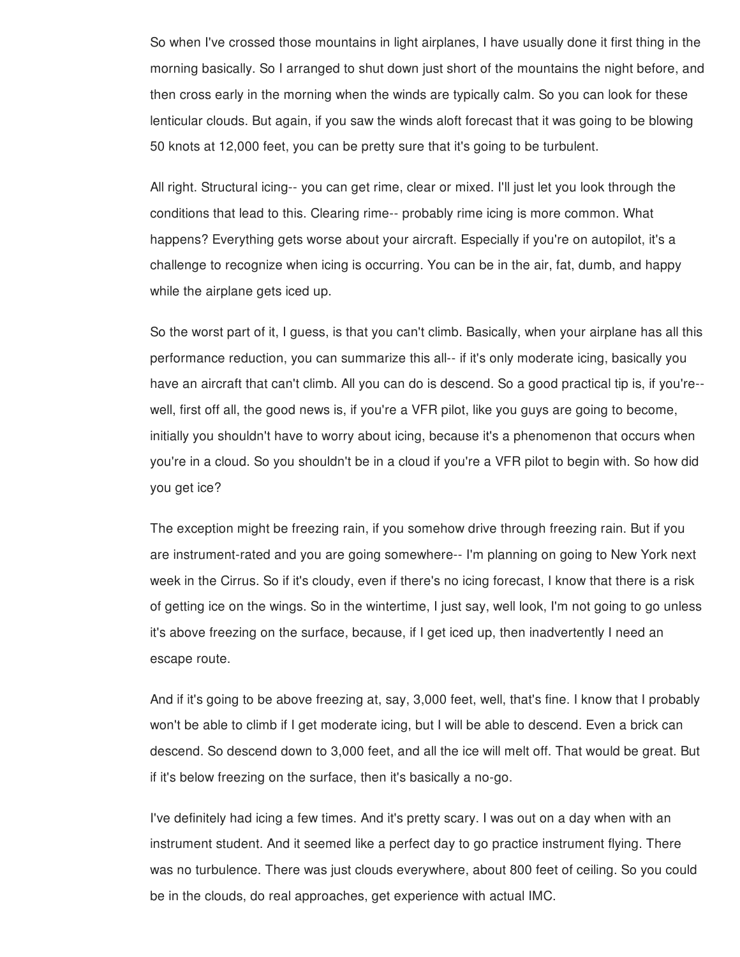So when I've crossed those mountains in light airplanes, I have usually done it first thing in the morning basically. So I arranged to shut down just short of the mountains the night before, and then cross early in the morning when the winds are typically calm. So you can look for these lenticular clouds. But again, if you saw the winds aloft forecast that it was going to be blowing 50 knots at 12,000 feet, you can be pretty sure that it's going to be turbulent.

All right. Structural icing-- you can get rime, clear or mixed. I'll just let you look through the conditions that lead to this. Clearing rime-- probably rime icing is more common. What happens? Everything gets worse about your aircraft. Especially if you're on autopilot, it's a challenge to recognize when icing is occurring. You can be in the air, fat, dumb, and happy while the airplane gets iced up.

So the worst part of it, I guess, is that you can't climb. Basically, when your airplane has all this performance reduction, you can summarize this all-- if it's only moderate icing, basically you have an aircraft that can't climb. All you can do is descend. So a good practical tip is, if you're- well, first off all, the good news is, if you're a VFR pilot, like you guys are going to become, initially you shouldn't have to worry about icing, because it's a phenomenon that occurs when you're in a cloud. So you shouldn't be in a cloud if you're a VFR pilot to begin with. So how did you get ice?

The exception might be freezing rain, if you somehow drive through freezing rain. But if you are instrument-rated and you are going somewhere-- I'm planning on going to New York next week in the Cirrus. So if it's cloudy, even if there's no icing forecast, I know that there is a risk of getting ice on the wings. So in the wintertime, I just say, well look, I'm not going to go unless it's above freezing on the surface, because, if I get iced up, then inadvertently I need an escape route.

And if it's going to be above freezing at, say, 3,000 feet, well, that's fine. I know that I probably won't be able to climb if I get moderate icing, but I will be able to descend. Even a brick can descend. So descend down to 3,000 feet, and all the ice will melt off. That would be great. But if it's below freezing on the surface, then it's basically a no-go.

I've definitely had icing a few times. And it's pretty scary. I was out on a day when with an instrument student. And it seemed like a perfect day to go practice instrument flying. There was no turbulence. There was just clouds everywhere, about 800 feet of ceiling. So you could be in the clouds, do real approaches, get experience with actual IMC.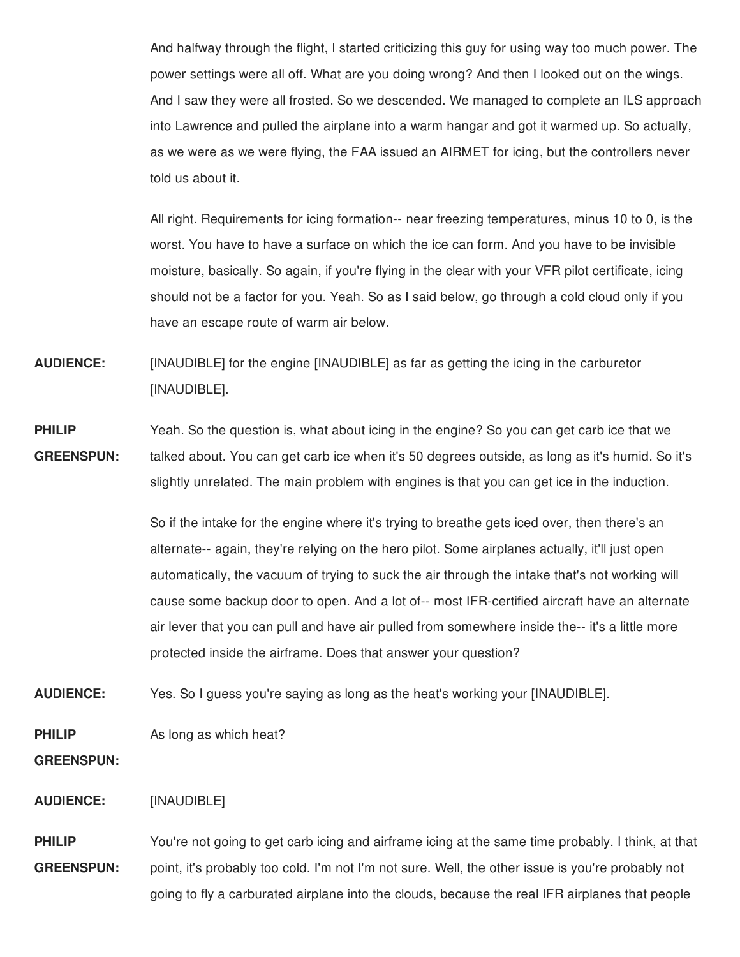And halfway through the flight, I started criticizing this guy for using way too much power. The power settings were all off. What are you doing wrong? And then I looked out on the wings. And I saw they were all frosted. So we descended. We managed to complete an ILS approach into Lawrence and pulled the airplane into a warm hangar and got it warmed up. So actually, as we were as we were flying, the FAA issued an AIRMET for icing, but the controllers never told us about it.

All right. Requirements for icing formation-- near freezing temperatures, minus 10 to 0, is the worst. You have to have a surface on which the ice can form. And you have to be invisible moisture, basically. So again, if you're flying in the clear with your VFR pilot certificate, icing should not be a factor for you. Yeah. So as I said below, go through a cold cloud only if you have an escape route of warm air below.

**AUDIENCE:** [INAUDIBLE] for the engine [INAUDIBLE] as far as getting the icing in the carburetor [INAUDIBLE].

**PHILIP GREENSPUN:** Yeah. So the question is, what about icing in the engine? So you can get carb ice that we talked about. You can get carb ice when it's 50 degrees outside, as long as it's humid. So it's slightly unrelated. The main problem with engines is that you can get ice in the induction.

> So if the intake for the engine where it's trying to breathe gets iced over, then there's an alternate-- again, they're relying on the hero pilot. Some airplanes actually, it'll just open automatically, the vacuum of trying to suck the air through the intake that's not working will cause some backup door to open. And a lot of-- most IFR-certified aircraft have an alternate air lever that you can pull and have air pulled from somewhere inside the-- it's a little more protected inside the airframe. Does that answer your question?

**AUDIENCE:** Yes. So I guess you're saying as long as the heat's working your [INAUDIBLE].

**PHILIP** As long as which heat?

**GREENSPUN:**

**AUDIENCE:** [INAUDIBLE]

**PHILIP GREENSPUN:** You're not going to get carb icing and airframe icing at the same time probably. I think, at that point, it's probably too cold. I'm not I'm not sure. Well, the other issue is you're probably not going to fly a carburated airplane into the clouds, because the real IFR airplanes that people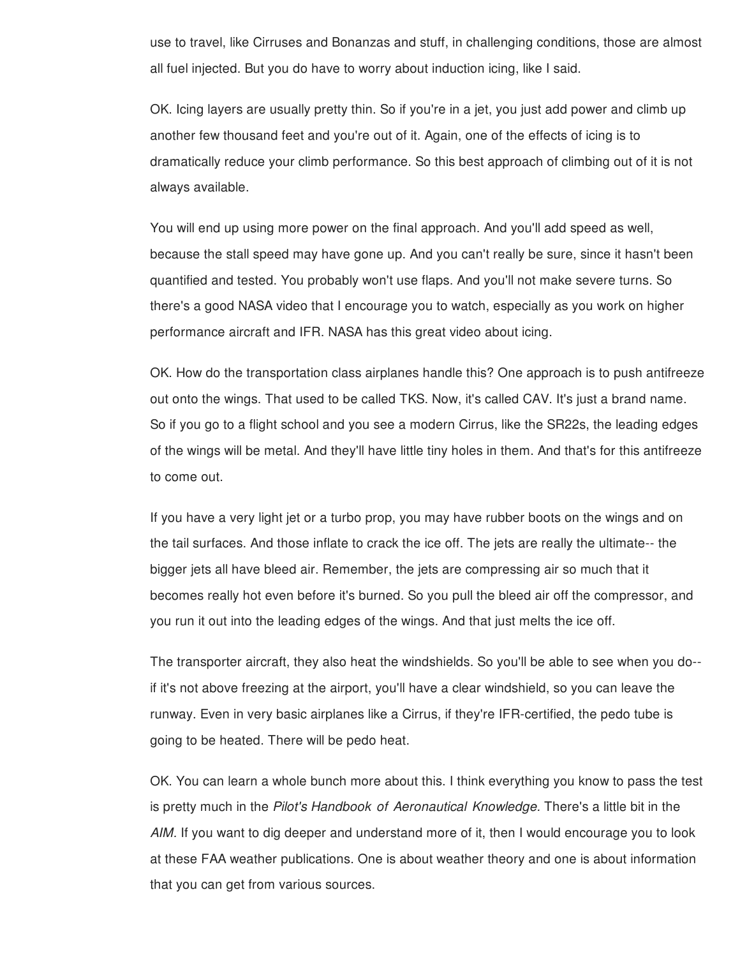use to travel, like Cirruses and Bonanzas and stuff, in challenging conditions, those are almost all fuel injected. But you do have to worry about induction icing, like I said.

OK. Icing layers are usually pretty thin. So if you're in a jet, you just add power and climb up another few thousand feet and you're out of it. Again, one of the effects of icing is to dramatically reduce your climb performance. So this best approach of climbing out of it is not always available.

You will end up using more power on the final approach. And you'll add speed as well, because the stall speed may have gone up. And you can't really be sure, since it hasn't been quantified and tested. You probably won't use flaps. And you'll not make severe turns. So there's a good NASA video that I encourage you to watch, especially as you work on higher performance aircraft and IFR. NASA has this great video about icing.

OK. How do the transportation class airplanes handle this? One approach is to push antifreeze out onto the wings. That used to be called TKS. Now, it's called CAV. It's just a brand name. So if you go to a flight school and you see a modern Cirrus, like the SR22s, the leading edges of the wings will be metal. And they'll have little tiny holes in them. And that's for this antifreeze to come out.

If you have a very light jet or a turbo prop, you may have rubber boots on the wings and on the tail surfaces. And those inflate to crack the ice off. The jets are really the ultimate-- the bigger jets all have bleed air. Remember, the jets are compressing air so much that it becomes really hot even before it's burned. So you pull the bleed air off the compressor, and you run it out into the leading edges of the wings. And that just melts the ice off.

The transporter aircraft, they also heat the windshields. So you'll be able to see when you do- if it's not above freezing at the airport, you'll have a clear windshield, so you can leave the runway. Even in very basic airplanes like a Cirrus, if they're IFR-certified, the pedo tube is going to be heated. There will be pedo heat.

OK. You can learn a whole bunch more about this. I think everything you know to pass the test is pretty much in the *Pilot's Handbook of Aeronautical Knowledge.* There's a little bit in the *AIM.* If you want to dig deeper and understand more of it, then I would encourage you to look at these FAA weather publications. One is about weather theory and one is about information that you can get from various sources.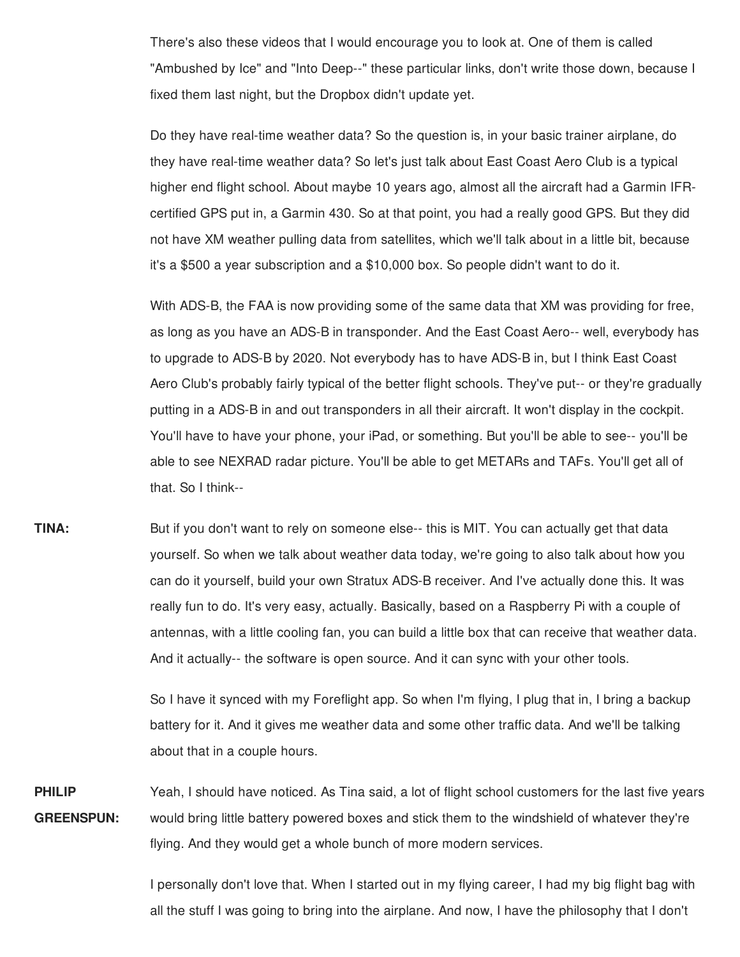There's also these videos that I would encourage you to look at. One of them is called "Ambushed by Ice" and "Into Deep--" these particular links, don't write those down, because I fixed them last night, but the Dropbox didn't update yet.

Do they have real-time weather data? So the question is, in your basic trainer airplane, do they have real-time weather data? So let's just talk about East Coast Aero Club is a typical higher end flight school. About maybe 10 years ago, almost all the aircraft had a Garmin IFRcertified GPS put in, a Garmin 430. So at that point, you had a really good GPS. But they did not have XM weather pulling data from satellites, which we'll talk about in a little bit, because it's a \$500 a year subscription and a \$10,000 box. So people didn't want to do it.

With ADS-B, the FAA is now providing some of the same data that XM was providing for free, as long as you have an ADS-B in transponder. And the East Coast Aero-- well, everybody has to upgrade to ADS-B by 2020. Not everybody has to have ADS-B in, but I think East Coast Aero Club's probably fairly typical of the better flight schools. They've put-- or they're gradually putting in a ADS-B in and out transponders in all their aircraft. It won't display in the cockpit. You'll have to have your phone, your iPad, or something. But you'll be able to see-- you'll be able to see NEXRAD radar picture. You'll be able to get METARs and TAFs. You'll get all of that. So I think--

**TINA:** But if you don't want to rely on someone else-- this is MIT. You can actually get that data yourself. So when we talk about weather data today, we're going to also talk about how you can do it yourself, build your own Stratux ADS-B receiver. And I've actually done this. It was really fun to do. It's very easy, actually. Basically, based on a Raspberry Pi with a couple of antennas, with a little cooling fan, you can build a little box that can receive that weather data. And it actually-- the software is open source. And it can sync with your other tools.

> So I have it synced with my Foreflight app. So when I'm flying, I plug that in, I bring a backup battery for it. And it gives me weather data and some other traffic data. And we'll be talking about that in a couple hours.

**PHILIP GREENSPUN:** Yeah, I should have noticed. As Tina said, a lot of flight school customers for the last five years would bring little battery powered boxes and stick them to the windshield of whatever they're flying. And they would get a whole bunch of more modern services.

> I personally don't love that. When I started out in my flying career, I had my big flight bag with all the stuff I was going to bring into the airplane. And now, I have the philosophy that I don't